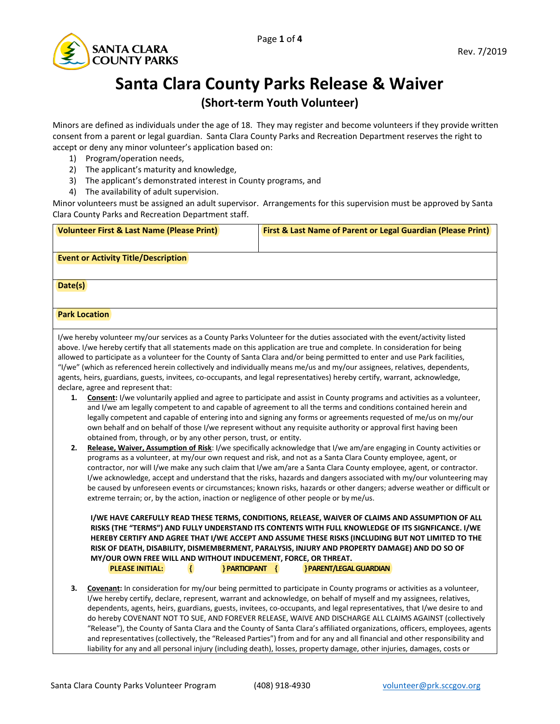

## **Santa Clara County Parks Release & Waiver**

## **(Short-term Youth Volunteer)**

Minors are defined as individuals under the age of 18. They may register and become volunteers if they provide written consent from a parent or legal guardian. Santa Clara County Parks and Recreation Department reserves the right to accept or deny any minor volunteer's application based on:

- 1) Program/operation needs,
- 2) The applicant's maturity and knowledge,
- 3) The applicant's demonstrated interest in County programs, and
- 4) The availability of adult supervision.

Minor volunteers must be assigned an adult supervisor. Arrangements for this supervision must be approved by Santa Clara County Parks and Recreation Department staff.

| <b>Volunteer First &amp; Last Name (Please Print)</b>                                                                                                                                                                                                     | First & Last Name of Parent or Legal Guardian (Please Print) |
|-----------------------------------------------------------------------------------------------------------------------------------------------------------------------------------------------------------------------------------------------------------|--------------------------------------------------------------|
|                                                                                                                                                                                                                                                           |                                                              |
| <b>Event or Activity Title/Description</b>                                                                                                                                                                                                                |                                                              |
|                                                                                                                                                                                                                                                           |                                                              |
| Date(s)                                                                                                                                                                                                                                                   |                                                              |
|                                                                                                                                                                                                                                                           |                                                              |
| <b>Park Location</b>                                                                                                                                                                                                                                      |                                                              |
|                                                                                                                                                                                                                                                           |                                                              |
| I/we hereby volunteer my/our services as a County Parks Volunteer for the duties associated with the event/activity listed                                                                                                                                |                                                              |
| above. I/we hereby certify that all statements made on this application are true and complete. In consideration for being<br>allowed to participate as a volunteer for the County of Santa Clara and/or being permitted to enter and use Park facilities, |                                                              |
| "I/we" (which as referenced herein collectively and individually means me/us and my/our assignees, relatives, dependents,                                                                                                                                 |                                                              |
| agents, heirs, guardians, guests, invitees, co-occupants, and legal representatives) hereby certify, warrant, acknowledge,                                                                                                                                |                                                              |
| declare, agree and represent that:                                                                                                                                                                                                                        |                                                              |
| Consent: I/we voluntarily applied and agree to participate and assist in County programs and activities as a volunteer,<br>1.                                                                                                                             |                                                              |
| and I/we am legally competent to and capable of agreement to all the terms and conditions contained herein and                                                                                                                                            |                                                              |
| legally competent and capable of entering into and signing any forms or agreements requested of me/us on my/our                                                                                                                                           |                                                              |
| own behalf and on behalf of those I/we represent without any requisite authority or approval first having been<br>obtained from, through, or by any other person, trust, or entity.                                                                       |                                                              |
| 2.<br>Release, Waiver, Assumption of Risk: I/we specifically acknowledge that I/we am/are engaging in County activities or                                                                                                                                |                                                              |
| programs as a volunteer, at my/our own request and risk, and not as a Santa Clara County employee, agent, or                                                                                                                                              |                                                              |
| contractor, nor will I/we make any such claim that I/we am/are a Santa Clara County employee, agent, or contractor.                                                                                                                                       |                                                              |
| I/we acknowledge, accept and understand that the risks, hazards and dangers associated with my/our volunteering may                                                                                                                                       |                                                              |
| be caused by unforeseen events or circumstances; known risks, hazards or other dangers; adverse weather or difficult or                                                                                                                                   |                                                              |
| extreme terrain; or, by the action, inaction or negligence of other people or by me/us.                                                                                                                                                                   |                                                              |
| I/WE HAVE CAREFULLY READ THESE TERMS, CONDITIONS, RELEASE, WAIVER OF CLAIMS AND ASSUMPTION OF ALL                                                                                                                                                         |                                                              |
| RISKS (THE "TERMS") AND FULLY UNDERSTAND ITS CONTENTS WITH FULL KNOWLEDGE OF ITS SIGNFICANCE. I/WE                                                                                                                                                        |                                                              |
| HEREBY CERTIFY AND AGREE THAT I/WE ACCEPT AND ASSUME THESE RISKS (INCLUDING BUT NOT LIMITED TO THE                                                                                                                                                        |                                                              |
| RISK OF DEATH, DISABILITY, DISMEMBERMENT, PARALYSIS, INJURY AND PROPERTY DAMAGE) AND DO SO OF<br>MY/OUR OWN FREE WILL AND WITHOUT INDUCEMENT, FORCE, OR THREAT.                                                                                           |                                                              |
| <b>PLEASE INITIAL:</b><br>} PARTICIPANT {<br>Ł                                                                                                                                                                                                            | <b>PARENT/LEGAL GUARDIAN</b>                                 |
|                                                                                                                                                                                                                                                           |                                                              |
| Covenant: In consideration for my/our being permitted to participate in County programs or activities as a volunteer,<br>3.                                                                                                                               |                                                              |
| I/we hereby certify, declare, represent, warrant and acknowledge, on behalf of myself and my assignees, relatives,                                                                                                                                        |                                                              |
| dependents, agents, heirs, guardians, guests, invitees, co-occupants, and legal representatives, that I/we desire to and                                                                                                                                  |                                                              |
| do hereby COVENANT NOT TO SUE, AND FOREVER RELEASE, WAIVE AND DISCHARGE ALL CLAIMS AGAINST (collectively<br>"Release"), the County of Santa Clara and the County of Santa Clara's affiliated organizations, officers, employees, agents                   |                                                              |
| and representatives (collectively, the "Released Parties") from and for any and all financial and other responsibility and                                                                                                                                |                                                              |
| liability for any and all personal injury (including death), losses, property damage, other injuries, damages, costs or                                                                                                                                   |                                                              |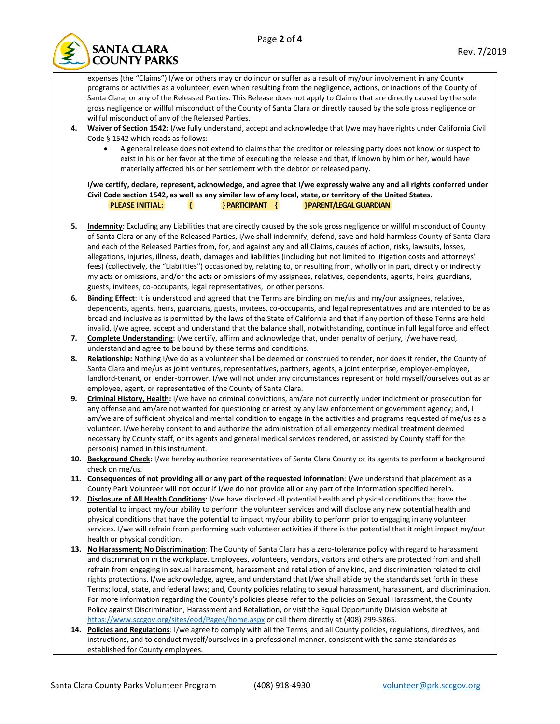

expenses (the "Claims") I/we or others may or do incur or suffer as a result of my/our involvement in any County programs or activities as a volunteer, even when resulting from the negligence, actions, or inactions of the County of Santa Clara, or any of the Released Parties. This Release does not apply to Claims that are directly caused by the sole gross negligence or willful misconduct of the County of Santa Clara or directly caused by the sole gross negligence or willful misconduct of any of the Released Parties.

- **4. Waiver of Section 1542:** I/we fully understand, accept and acknowledge that I/we may have rights under California Civil Code § 1542 which reads as follows:
	- A general release does not extend to claims that the creditor or releasing party does not know or suspect to exist in his or her favor at the time of executing the release and that, if known by him or her, would have materially affected his or her settlement with the debtor or released party.

**I/we certify, declare, represent, acknowledge, and agree that I/we expressly waive any and all rights conferred under Civil Code section 1542, as well as any similar law of any local, state, or territory of the United States. PLEASE INITIAL: { } PARTICIPANT { }PARENT/LEGAL GUARDIAN**

- **5. Indemnity**: Excluding any Liabilities that are directly caused by the sole gross negligence or willful misconduct of County of Santa Clara or any of the Released Parties, I/we shall indemnify, defend, save and hold harmless County of Santa Clara and each of the Released Parties from, for, and against any and all Claims, causes of action, risks, lawsuits, losses, allegations, injuries, illness, death, damages and liabilities (including but not limited to litigation costs and attorneys' fees) (collectively, the "Liabilities") occasioned by, relating to, or resulting from, wholly or in part, directly or indirectly my acts or omissions, and/or the acts or omissions of my assignees, relatives, dependents, agents, heirs, guardians, guests, invitees, co-occupants, legal representatives, or other persons.
- **6. Binding Effect**: It is understood and agreed that the Terms are binding on me/us and my/our assignees, relatives, dependents, agents, heirs, guardians, guests, invitees, co-occupants, and legal representatives and are intended to be as broad and inclusive as is permitted by the laws of the State of California and that if any portion of these Terms are held invalid, I/we agree, accept and understand that the balance shall, notwithstanding, continue in full legal force and effect.
- **7. Complete Understanding**: I/we certify, affirm and acknowledge that, under penalty of perjury, I/we have read, understand and agree to be bound by these terms and conditions.
- **8. Relationship:** Nothing I/we do as a volunteer shall be deemed or construed to render, nor does it render, the County of Santa Clara and me/us as joint ventures, representatives, partners, agents, a joint enterprise, employer-employee, landlord-tenant, or lender-borrower. I/we will not under any circumstances represent or hold myself/ourselves out as an employee, agent, or representative of the County of Santa Clara.
- **9. Criminal History, Health:** I/we have no criminal convictions, am/are not currently under indictment or prosecution for any offense and am/are not wanted for questioning or arrest by any law enforcement or government agency; and, I am/we are of sufficient physical and mental condition to engage in the activities and programs requested of me/us as a volunteer. I/we hereby consent to and authorize the administration of all emergency medical treatment deemed necessary by County staff, or its agents and general medical services rendered, or assisted by County staff for the person(s) named in this instrument.
- **10. Background Check:** I/we hereby authorize representatives of Santa Clara County or its agents to perform a background check on me/us.
- **11. Consequences of not providing all or any part of the requested information**: I/we understand that placement as a County Park Volunteer will not occur if I/we do not provide all or any part of the information specified herein.
- **12. Disclosure of All Health Conditions**: I/we have disclosed all potential health and physical conditions that have the potential to impact my/our ability to perform the volunteer services and will disclose any new potential health and physical conditions that have the potential to impact my/our ability to perform prior to engaging in any volunteer services. I/we will refrain from performing such volunteer activities if there is the potential that it might impact my/our health or physical condition.
- **13. No Harassment; No Discrimination**: The County of Santa Clara has a zero-tolerance policy with regard to harassment and discrimination in the workplace. Employees, volunteers, vendors, visitors and others are protected from and shall refrain from engaging in sexual harassment, harassment and retaliation of any kind, and discrimination related to civil rights protections. I/we acknowledge, agree, and understand that I/we shall abide by the standards set forth in these Terms; local, state, and federal laws; and, County policies relating to sexual harassment, harassment, and discrimination. For more information regarding the County's policies please refer to the policies on Sexual Harassment, the County Policy against Discrimination, Harassment and Retaliation, or visit the Equal Opportunity Division website at <https://www.sccgov.org/sites/eod/Pages/home.aspx> or call them directly at (408) 299-5865.
- **14. Policies and Regulations**: I/we agree to comply with all the Terms, and all County policies, regulations, directives, and instructions, and to conduct myself/ourselves in a professional manner, consistent with the same standards as established for County employees.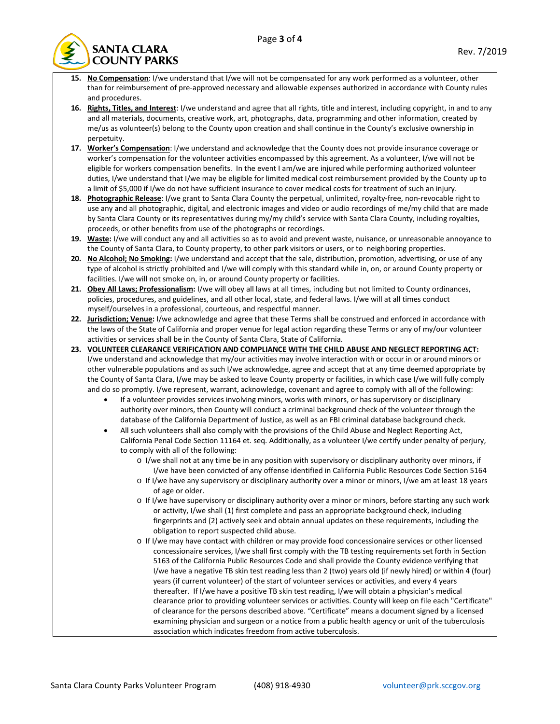

- **15. No Compensation**: I/we understand that I/we will not be compensated for any work performed as a volunteer, other than for reimbursement of pre-approved necessary and allowable expenses authorized in accordance with County rules and procedures.
- **16. Rights, Titles, and Interest**: I/we understand and agree that all rights, title and interest, including copyright, in and to any and all materials, documents, creative work, art, photographs, data, programming and other information, created by me/us as volunteer(s) belong to the County upon creation and shall continue in the County's exclusive ownership in perpetuity.
- **17. Worker's Compensation**: I/we understand and acknowledge that the County does not provide insurance coverage or worker's compensation for the volunteer activities encompassed by this agreement. As a volunteer, I/we will not be eligible for workers compensation benefits. In the event I am/we are injured while performing authorized volunteer duties, I/we understand that I/we may be eligible for limited medical cost reimbursement provided by the County up to a limit of \$5,000 if I/we do not have sufficient insurance to cover medical costs for treatment of such an injury.
- **18. Photographic Release**: I/we grant to Santa Clara County the perpetual, unlimited, royalty-free, non-revocable right to use any and all photographic, digital, and electronic images and video or audio recordings of me/my child that are made by Santa Clara County or its representatives during my/my child's service with Santa Clara County, including royalties, proceeds, or other benefits from use of the photographs or recordings.
- **19. Waste:** I/we will conduct any and all activities so as to avoid and prevent waste, nuisance, or unreasonable annoyance to the County of Santa Clara, to County property, to other park visitors or users, or to neighboring properties.
- **20. No Alcohol; No Smoking:** I/we understand and accept that the sale, distribution, promotion, advertising, or use of any type of alcohol is strictly prohibited and I/we will comply with this standard while in, on, or around County property or facilities. I/we will not smoke on, in, or around County property or facilities.
- **21. Obey All Laws; Professionalism:** I/we will obey all laws at all times, including but not limited to County ordinances, policies, procedures, and guidelines, and all other local, state, and federal laws. I/we will at all times conduct myself/ourselves in a professional, courteous, and respectful manner.
- **22. Jurisdiction; Venue:** I/we acknowledge and agree that these Terms shall be construed and enforced in accordance with the laws of the State of California and proper venue for legal action regarding these Terms or any of my/our volunteer activities or services shall be in the County of Santa Clara, State of California.
- **23. VOLUNTEER CLEARANCE VERIFICATION AND COMPLIANCE WITH THE CHILD ABUSE AND NEGLECT REPORTING ACT:**  I/we understand and acknowledge that my/our activities may involve interaction with or occur in or around minors or other vulnerable populations and as such I/we acknowledge, agree and accept that at any time deemed appropriate by the County of Santa Clara, I/we may be asked to leave County property or facilities, in which case I/we will fully comply and do so promptly. I/we represent, warrant, acknowledge, covenant and agree to comply with all of the following:
	- If a volunteer provides services involving minors, works with minors, or has supervisory or disciplinary authority over minors, then County will conduct a criminal background check of the volunteer through the database of the California Department of Justice, as well as an FBI criminal database background check.
	- All such volunteers shall also comply with the provisions of the Child Abuse and Neglect Reporting Act, California Penal Code Section 11164 et. seq. Additionally, as a volunteer I/we certify under penalty of perjury, to comply with all of the following:
		- o I/we shall not at any time be in any position with supervisory or disciplinary authority over minors, if I/we have been convicted of any offense identified in California Public Resources Code Section 5164
		- o If I/we have any supervisory or disciplinary authority over a minor or minors, I/we am at least 18 years of age or older.
		- o If I/we have supervisory or disciplinary authority over a minor or minors, before starting any such work or activity, I/we shall (1) first complete and pass an appropriate background check, including fingerprints and (2) actively seek and obtain annual updates on these requirements, including the obligation to report suspected child abuse.
		- o If I/we may have contact with children or may provide food concessionaire services or other licensed concessionaire services, I/we shall first comply with the TB testing requirements set forth in Section 5163 of the California Public Resources Code and shall provide the County evidence verifying that I/we have a negative TB skin test reading less than 2 (two) years old (if newly hired) or within 4 (four) years (if current volunteer) of the start of volunteer services or activities, and every 4 years thereafter. If I/we have a positive TB skin test reading, I/we will obtain a physician's medical clearance prior to providing volunteer services or activities. County will keep on file each "Certificate" of clearance for the persons described above. "Certificate" means a document signed by a licensed examining physician and surgeon or a notice from a public health agency or unit of the tuberculosis association which indicates freedom from active tuberculosis.